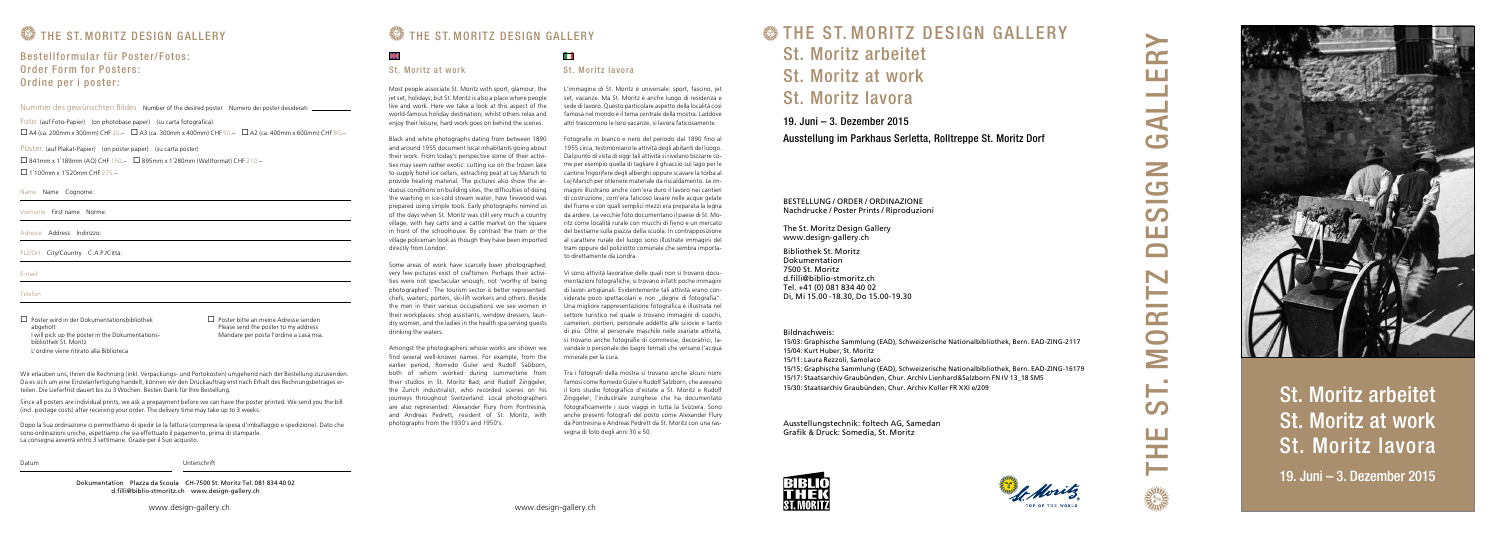T. MORITZ DESIGN GALLERY  $\overline{\mathbf{C}}$ ш **Contract Contract Contract Contract** d by  $\geq$ G  $\mathcal{O}$ ш N **Service Contract**  $\Gamma$  $\bigcirc$  $\geq$ က<br>က



St. Moritz arbeitet St. Moritz at work St. Moritz lavora

19. Juni – 3. Dezember 2015

Ausstellung im Parkhaus Serletta, Rolltreppe St. Moritz Dorf

BESTELLUNG / ORDER / ORDINAZIONE Nachdrucke / Poster Prints / Riproduzioni

The St. Moritz Design Gallery www.design-gallery.ch

Bibliothek St. Moritz Dokumentation 7500 St. Moritz d.filli@biblio-stmoritz.ch Tel. +41 (0) 081 834 40 02 Di, Mi 15.00 -18.30, Do 15.00-19.30



Bildnachweis:

15/03: Graphische Sammlung (EAD), Schweizerische Nationalbibliothek, Bern. EAD-ZING-2117 15/04: Kurt Huber, St. Moritz

# 19. Juni – 3. Dezember 2015 **SETHE ST. MORITZ DESIGN GALLERY** St. Moritz arbeitet St. Moritz at work St. Moritz lavora

15/11: Laura Rezzoli, Samolaco

15/15: Graphische Sammlung (EAD), Schweizerische Nationalbibliothek, Bern. EAD-ZING-16179 15/17: Staatsarchiv Graubünden, Chur. Archiv Lienhard&Salzborn FN IV 13\_18 SM5 15/30: Staatsarchiv Graubünden, Chur. Archiv Koller FR XXI e/209

Ausstellungstechnik: foltech AG, Samedan Grafik & Druck: Somedia, St. Moritz





# **WE THE ST. MORITZ DESIGN GALLERY**

## Bestellformular für Poster/Fotos: Order Form for Posters: Ordine per i poster:

# **WE THE ST. MORITZ DESIGN GALLERY**

9ik

## St. Moritz at work St. Moritz lavora

Most people associate St. Moritz with sport, glamour, the jet set, holidays; but St. Moritz is also a place where people live and work. Here we take a look at this aspect of the world-famous holiday destination; whilst others relax and enjoy their leisure, hard work goes on behind the scenes.

Black and white photographs dating from between 1890 and around 1955 document local inhabitants going about their work. From today's perspective some of their activities may seem rather exotic: cutting ice on the frozen lake to supply hotel ice cellars, extracting peat at Lej Marsch to provide heating material. The pictures also show the arduous conditions on building sites, the difficulties of doing the washing in ice-cold stream water, how firewood was prepared using simple tools. Early photographs remind us of the days when St. Moritz was still very much a country village, with hay carts and a cattle market on the square in front of the schoolhouse. By contrast the tram or the village policeman look as though they have been imported directly from London.

Some areas of work have scarcely been photographed; very few pictures exist of craftsmen. Perhaps their activities were not spectacular enough, not 'worthy of being photographed'. The tourism sector is better represented: chefs, waiters, porters, ski-lift workers and others. Beside the men in their various occupations we see women in their workplaces: shop assistants, window dressers, laundry women, and the ladies in the health spa serving guests drinking the waters.

 $\Box$  Poster wird in der Dokumentationsbibliothek abgeholt I will pick up the poster in the Dokumentationsbibliothek St. Moritz L'ordine viene ritirato alla Biblioteca

 $\Box$  Poster bitte an meine Adresse senden Please send the poster to my address Mandare per posta l'ordine a casa mia.

> Amongst the photographers whose works are shown we find several well-known names. For example, from the earlier period, Romedo Guler and Rudolf Salzborn, both of whom worked during summertime from their studios in St. Moritz Bad; and Rudolf Zinggeler the Zurich industrialist, who recorded scenes on his journeys throughout Switzerland. Local photographers are also represented: Alexander Flury from Pontresina, and Andreas Pedrett, resident of St. Moritz, with photographs from the 1930's and 1950's.

## H

L'immagine di St. Moritz è universale: sport, fascino, jet set, vacanze. Ma St. Moritz è anche luogo di residenza e sede di lavoro. Questo particolare aspetto della località così famosa nel mondo è il tema centrale della mostra. Laddove altri trascorrono le loro vacanze, si lavora faticosamente.

Fotografie in bianco e nero del periodo dal 1890 fino al 1955 circa, testimoniano le attività degli abitanti del luogo. Dal punto di vista di oggi tali attività si rivelano bizzarre come per esempio quella di tagliare il ghiaccio sul lago per le cantine frigorifere degli alberghi oppure scavare la torba al Lej Marsch per ottenere materiale da riscaldamento. Le immagini illustrano anche com'era duro il lavoro nei cantieri di costruzione, com'era faticoso lavare nelle acque gelate del fiume e con quali semplici mezzi era preparata la legna da ardere. Le vecchie foto documentano il paese di St. Moritz come località rurale con mucchi di fieno e un mercato del bestiame sulla piazza della scuola. In contrapposizione al carattere rurale del luogo sono illustrate immagini del tram oppure del poliziotto comunale che sembra importato direttamente da Londra.

Vi sono attività lavorative delle quali non si trovano documentazioni fotografiche; si trovano infatti poche immagini di lavori artigianali. Evidentemente tali attività erano considerate poco spettacolari e non "degne di fotografia". Una migliore rappresentazione fotografica è illustrata nel settore turistico nel quale si trovano immagini di cuochi, camerieri, portieri, personale addetto alle sciovie e tanto di più. Oltre al personale maschile nelle svariate attività, si trovano anche fotografie di commesse, decoratrici, lavandaie o personale dei bagni termali che versano l'acqua minerale per la cura.

Tra i fotografi della mostra si trovano anche alcuni nomi famosi come Romedo Guler e Rudolf Salzborn, che avevano il loro studio fotografico d'estate a St. Moritz e Rudolf Zinggeler, l'industriale zurighese che ha documentato fotograficamente i suoi viaggi in tutta la Svizzera. Sono anche presenti fotografi del posto come Alexander Flury da Pontresina e Andreas Pedrett da St. Moritz con una rassegna di foto degli anni 30 e 50.

## Nummer des gewünschten Bildes Number of the desired poster Numero dei poster desiderati

Name Name Cognome:

Vorname First name Norme:

Adresse Address Indirizzo:

PLZ/Ort City/Country C.A.P./Città:

E-mail

Telefon

Wir erlauben uns, Ihnen die Rechnung (inkl. Verpackungs- und Portokosten) umgehend nach der Bestellung zuzusenden. Da es sich um eine Einzelanfertigung handelt, können wir den Druckauftrag erst nach Erhalt des Rechnungsbetrages erteilen. Die Lieferfrist dauert bis zu 3 Wochen. Besten Dank für Ihre Bestellung.

Since all posters are individual prints, we ask a prepayment before we can have the poster printed. We send you the bill (incl. postage costs) after receiving your order. The delivery time may take up to 3 weeks.

Dopo la Sua ordinazione ci permettiamo di spedir Le la fattura (compresa la spesa d'imballaggio e spedizione). Dato che sono ordinazioni uniche, aspettiamo che sia effettuato il pagamento, prima di stamparle. La consegna avverrà entro 3 settimane. Grazie per il Suo acquisto.

Datum Unterschrift

Dokumentation Plazza da Scoula CH-7500 St. Moritz Tel. 081 834 40 02 d.filli@biblio-stmoritz.ch www.design-gallery.ch

Foto: (auf Foto-Papier) (on photobase paper) (su carta fotografica)

 $\square$  A4 (ca. 200mm x 300mm) CHF 20.–  $\square$  A3 (ca. 300mm x 400mm) CHF 50.–  $\square$  A2 (ca. 400mm x 600mm) CHF 80.–

Poster: (auf Plakat-Papier) (on poster paper) (su carta poster)

 $\Box$  841mm x 1'189mm (AO) CHF 150.–  $\Box$  895mm x 1'280mm (Weltformat) CHF 210.–

 $\Box$  1'100mm x 1'520mm CHF 275.-